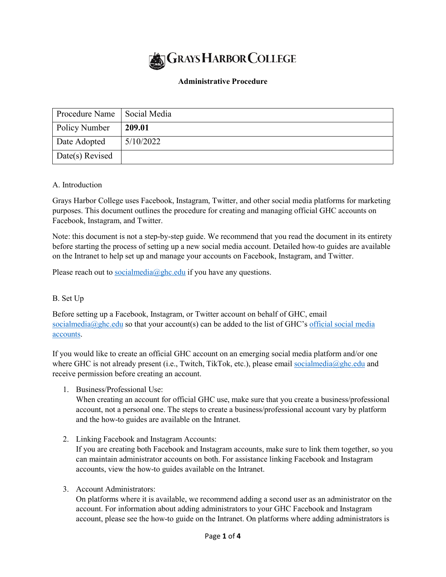

#### **Administrative Procedure**

| Procedure Name  | Social Media |
|-----------------|--------------|
| Policy Number   | 209.01       |
| Date Adopted    | 5/10/2022    |
| Date(s) Revised |              |

#### A. Introduction

Grays Harbor College uses Facebook, Instagram, Twitter, and other social media platforms for marketing purposes. This document outlines the procedure for creating and managing official GHC accounts on Facebook, Instagram, and Twitter.

Note: this document is not a step-by-step guide. We recommend that you read the document in its entirety before starting the process of setting up a new social media account. Detailed how-to guides are available on the Intranet to help set up and manage your accounts on Facebook, Instagram, and Twitter.

Please reach out to  $\frac{\text{socialmedia}(\text{@ghc.edu})}{\text{sgnca}}$  if you have any questions.

### B. Set Up

Before setting up a Facebook, Instagram, or Twitter account on behalf of GHC, email  $socialmedia@ghc.edu$  so that your account(s) can be added to the list of GHC's official social media [accounts.](https://www.ghc.edu/social-media)

If you would like to create an official GHC account on an emerging social media platform and/or one where GHC is not already present (i.e., Twitch, TikTok, etc.), please email  $\frac{\text{socialmedia}(Q)\text{ghc.edu}}{\text{add}}$  and receive permission before creating an account.

1. Business/Professional Use:

When creating an account for official GHC use, make sure that you create a business/professional account, not a personal one. The steps to create a business/professional account vary by platform and the how-to guides are available on the Intranet.

2. Linking Facebook and Instagram Accounts:

If you are creating both Facebook and Instagram accounts, make sure to link them together, so you can maintain administrator accounts on both. For assistance linking Facebook and Instagram accounts, view the how-to guides available on the Intranet.

3. Account Administrators:

On platforms where it is available, we recommend adding a second user as an administrator on the account. For information about adding administrators to your GHC Facebook and Instagram account, please see the how-to guide on the Intranet. On platforms where adding administrators is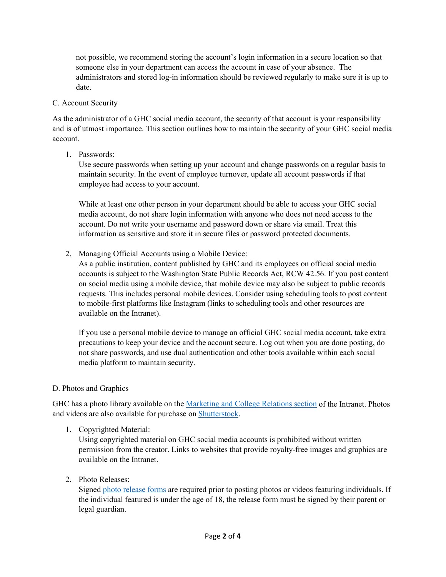not possible, we recommend storing the account's login information in a secure location so that someone else in your department can access the account in case of your absence. The administrators and stored log-in information should be reviewed regularly to make sure it is up to date.

### C. Account Security

As the administrator of a GHC social media account, the security of that account is your responsibility and is of utmost importance. This section outlines how to maintain the security of your GHC social media account.

1. Passwords:

Use secure passwords when setting up your account and change passwords on a regular basis to maintain security. In the event of employee turnover, update all account passwords if that employee had access to your account.

While at least one other person in your department should be able to access your GHC social media account, do not share login information with anyone who does not need access to the account. Do not write your username and password down or share via email. Treat this information as sensitive and store it in secure files or password protected documents.

2. Managing Official Accounts using a Mobile Device:

As a public institution, content published by GHC and its employees on official social media accounts is subject to the Washington State Public Records Act, RCW 42.56. If you post content on social media using a mobile device, that mobile device may also be subject to public records requests. This includes personal mobile devices. Consider using scheduling tools to post content to mobile-first platforms like Instagram (links to scheduling tools and other resources are available on the Intranet).

If you use a personal mobile device to manage an official GHC social media account, take extra precautions to keep your device and the account secure. Log out when you are done posting, do not share passwords, and use dual authentication and other tools available within each social media platform to maintain security.

### D. Photos and Graphics

GHC has a photo library available on the [Marketing and College Relations section](https://intranet.ghc.edu/departments/marketing/) of the Intranet. Photos and videos are also available for purchase on [Shutterstock.](https://www.shutterstock.com/)

1. Copyrighted Material:

Using copyrighted material on GHC social media accounts is prohibited without written permission from the creator. Links to websites that provide royalty-free images and graphics are available on the Intranet.

### 2. Photo Releases:

Signed [photo release forms](https://intranet.ghc.edu/departments/marketing/photo-releases) are required prior to posting photos or videos featuring individuals. If the individual featured is under the age of 18, the release form must be signed by their parent or legal guardian.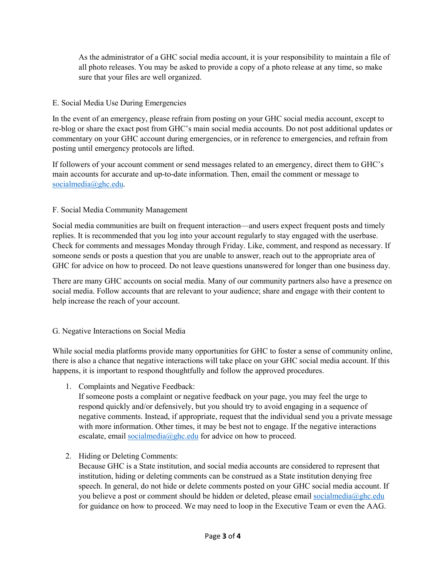As the administrator of a GHC social media account, it is your responsibility to maintain a file of all photo releases. You may be asked to provide a copy of a photo release at any time, so make sure that your files are well organized.

## E. Social Media Use During Emergencies

In the event of an emergency, please refrain from posting on your GHC social media account, except to re-blog or share the exact post from GHC's main social media accounts. Do not post additional updates or commentary on your GHC account during emergencies, or in reference to emergencies, and refrain from posting until emergency protocols are lifted.

If followers of your account comment or send messages related to an emergency, direct them to GHC's main accounts for accurate and up-to-date information. Then, email the comment or message to [socialmedia@ghc.edu.](mailto:socialmedia@ghc.edu)

# F. Social Media Community Management

Social media communities are built on frequent interaction—and users expect frequent posts and timely replies. It is recommended that you log into your account regularly to stay engaged with the userbase. Check for comments and messages Monday through Friday. Like, comment, and respond as necessary. If someone sends or posts a question that you are unable to answer, reach out to the appropriate area of GHC for advice on how to proceed. Do not leave questions unanswered for longer than one business day.

There are many GHC accounts on social media. Many of our community partners also have a presence on social media. Follow accounts that are relevant to your audience; share and engage with their content to help increase the reach of your account.

### G. Negative Interactions on Social Media

While social media platforms provide many opportunities for GHC to foster a sense of community online, there is also a chance that negative interactions will take place on your GHC social media account. If this happens, it is important to respond thoughtfully and follow the approved procedures.

1. Complaints and Negative Feedback:

If someone posts a complaint or negative feedback on your page, you may feel the urge to respond quickly and/or defensively, but you should try to avoid engaging in a sequence of negative comments. Instead, if appropriate, request that the individual send you a private message with more information. Other times, it may be best not to engage. If the negative interactions escalate, email [socialmedia@ghc.edu](mailto:socialmedia@ghc.edu) for advice on how to proceed.

2. Hiding or Deleting Comments:

Because GHC is a State institution, and social media accounts are considered to represent that institution, hiding or deleting comments can be construed as a State institution denying free speech. In general, do not hide or delete comments posted on your GHC social media account. If you believe a post or comment should be hidden or deleted, please email [socialmedia@ghc.edu](mailto:socialmedia@ghc.edu) for guidance on how to proceed. We may need to loop in the Executive Team or even the AAG.